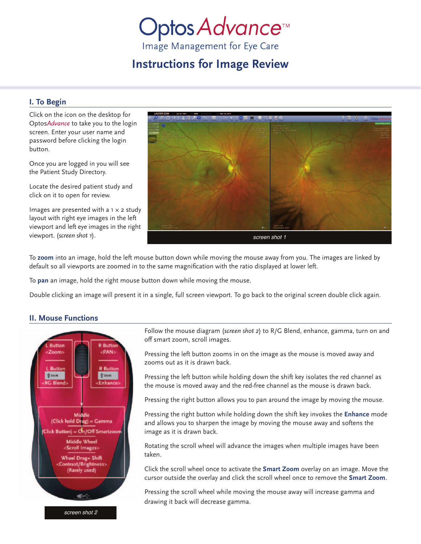# Optos Advance™

Image Management for Eye Care

# **Instructions for Image Review**

# **I. To Begin**

Click on the icon on the desktop for Optos*Advance* to take you to the login screen. Enter your user name and password before clicking the login button.

Once you are logged in you will see the Patient Study Directory.

Locate the desired patient study and click on it to open for review.

Images are presented with a  $1 \times 2$  study layout with right eye images in the left viewport and left eye images in the right viewport. (*screen shot 1*).



To **zoom** into an image, hold the left mouse button down while moving the mouse away from you. The images are linked by default so all viewports are zoomed in to the same magnification with the ratio displayed at lower left.

To **pan** an image, hold the right mouse button down while moving the mouse.

Double clicking an image will present it in a single, full screen viewport. To go back to the original screen double click again.

# **II. Mouse Functions**



*screen shot 2*

Follow the mouse diagram (*screen shot 2*) to R/G Blend, enhance, gamma, turn on and off smart zoom, scroll images.

Pressing the left button zooms in on the image as the mouse is moved away and zooms out as it is drawn back.

Pressing the left button while holding down the shift key isolates the red channel as the mouse is moved away and the red-free channel as the mouse is drawn back.

Pressing the right button allows you to pan around the image by moving the mouse.

Pressing the right button while holding down the shift key invokes the **Enhance** mode and allows you to sharpen the image by moving the mouse away and softens the image as it is drawn back.

Rotating the scroll wheel will advance the images when multiple images have been taken.

Click the scroll wheel once to activate the **Smart Zoom** overlay on an image. Move the cursor outside the overlay and click the scroll wheel once to remove the **Smart Zoom**.

Pressing the scroll wheel while moving the mouse away will increase gamma and drawing it back will decrease gamma.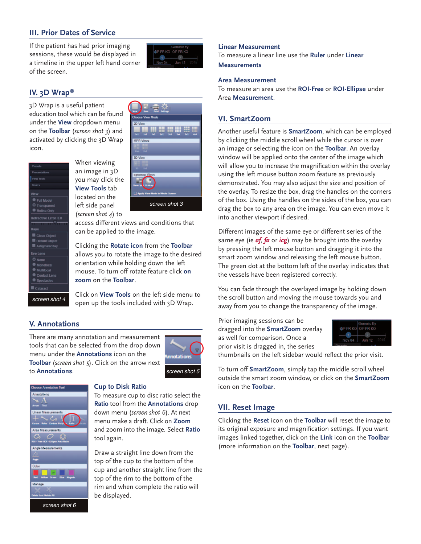# **III. Prior Dates of Service**

If the patient has had prior imaging sessions, these would be displayed in a timeline in the upper left hand corner of the screen.



# **IV. 3D Wrap®**

3D Wrap is a useful patient education tool which can be found under the **View** dropdown menu on the **Toolbar** (*screen shot 3*) and activated by clicking the 3D Wrap icon.



When viewing an image in 3D you may click the **View Tools** tab located on the left side panel (*screen shot 4*) to



access different views and conditions that can be applied to the image.

Clicking the **Rotate icon** from the **Toolbar** allows you to rotate the image to the desired orientation while holding down the left mouse. To turn off rotate feature click **on zoom** on the **Toolbar**.

Click on **View Tools** on the left side menu to open up the tools included with 3D Wrap.

### **V. Annotations**

There are many annotation and measurement tools that can be selected from the drop down menu under the **Annotations** icon on the **Toolbar** (*screen shot 5*). Click on the arrow next to **Annotations**.





#### **Cup to Disk Ratio**

To measure cup to disc ratio select the **Ratio** tool from the **Annotations** drop down menu (*screen shot 6*). At next menu make a draft. Click on **Zoom** and zoom into the image. Select **Ratio** tool again.

Draw a straight line down from the top of the cup to the bottom of the cup and another straight line from the top of the rim to the bottom of the rim and when complete the ratio will be displayed.

#### *screen shot 6*

#### **Linear Measurement**

To measure a linear line use the **Ruler** under **Linear Measurements**

#### **Area Measurement**

To measure an area use the **ROI-Free** or **ROI-Ellipse** under Area **Measurement**.

#### **VI. SmartZoom**

Another useful feature is **SmartZoom**, which can be employed by clicking the middle scroll wheel while the cursor is over an image or selecting the icon on the **Toolbar**. An overlay window will be applied onto the center of the image which will allow you to increase the magnification within the overlay using the left mouse button zoom feature as previously demonstrated. You may also adjust the size and position of the overlay. To resize the box, drag the handles on the corners of the box. Using the handles on the sides of the box, you can drag the box to any area on the image. You can even move it into another viewport if desired.

Different images of the same eye or different series of the same eye (ie *af*, *fa* or *icg*) may be brought into the overlay by pressing the left mouse button and dragging it into the smart zoom window and releasing the left mouse button. The green dot at the bottom left of the overlay indicates that the vessels have been registered correctly.

You can fade through the overlayed image by holding down the scroll button and moving the mouse towards you and away from you to change the transparency of the image.

Prior imaging sessions can be dragged into the **SmartZoom** overlay as well for comparison. Once a prior visit is dragged in, the series



thumbnails on the left sidebar would reflect the prior visit.

To turn off **SmartZoom**, simply tap the middle scroll wheel outside the smart zoom window, or click on the **SmartZoom** icon on the **Toolbar**.

#### **VII. Reset Image**

Clicking the **Reset** icon on the **Toolbar** will reset the image to its original exposure and magnification settings. If you want images linked together, click on the **Link** icon on the **Toolbar** (more information on the **Toolbar**, next page).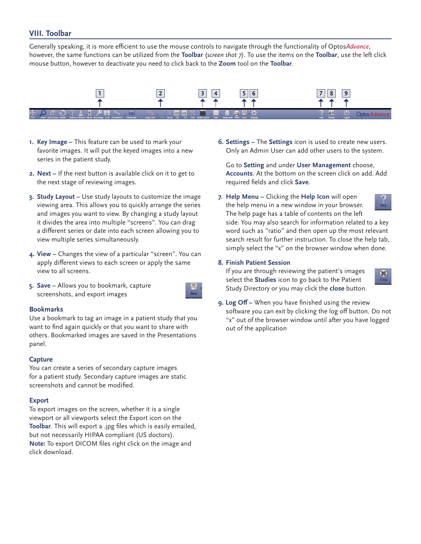## **VIII. Toolbar**

Generally speaking, it is more efficient to use the mouse controls to navigate through the functionality of Optos*Advance*, however, the same functions can be utilized from the **Toolbar** (*screen shot 7*). To use the items on the **Toolbar**, use the left click mouse button, however to deactivate you need to click back to the **Zoom** tool on the **Toolbar**.



- **1. Key Image –** This feature can be used to mark your favorite images. It will put the keyed images into a new series in the patient study.
- **2. Next –** If the next button is available click on it to get to the next stage of reviewing images.
- **3. Study Layout –** Use study layouts to customize the image viewing area. This allows you to quickly arrange the series and images you want to view. By changing a study layout it divides the area into multiple "screens". You can drag a different series or date into each screen allowing you to view multiple series simultaneously.
- **4. View** Changes the view of a particular "screen". You can apply different views to each screen or apply the same view to all screens.
- **5. Save –** Allows you to bookmark, capture screenshots, and export images

#### **Bookmarks**

Use a bookmark to tag an image in a patient study that you want to find again quickly or that you want to share with others. Bookmarked images are saved in the Presentations panel.

#### **Capture**

You can create a series of secondary capture images for a patient study. Secondary capture images are static screenshots and cannot be modified.

#### **Export**

To export images on the screen, whether it is a single viewport or all viewports select the Export icon on the **Toolbar**. This will export a .jpg files which is easily emailed, but not necessarily HIPAA compliant (US doctors). **Note:** To export DICOM files right click on the image and click download.

**6. Settings –** The **Settings** icon is used to create new users. Only an Admin User can add other users to the system.

Go to **Setting** and under **User Management** choose, **Accounts**. At the bottom on the screen click on add. Add required fields and click **Save**.

**7. Help Menu –** Clicking the **Help Icon** will open the help menu in a new window in your browser. The help page has a table of contents on the left



side. You may also search for information related to a key word such as "ratio" and then open up the most relevant search result for further instruction. To close the help tab, simply select the "x" on the browser window when done.

#### **8. Finish Patient Session**

If you are through reviewing the patient's images select the **Studies** icon to go back to the Patient Study Directory or you may click the **close** button.



**9. Log Off –** When you have finished using the review software you can exit by clicking the log off button. Do not "x" out of the browser window until after you have logged out of the application